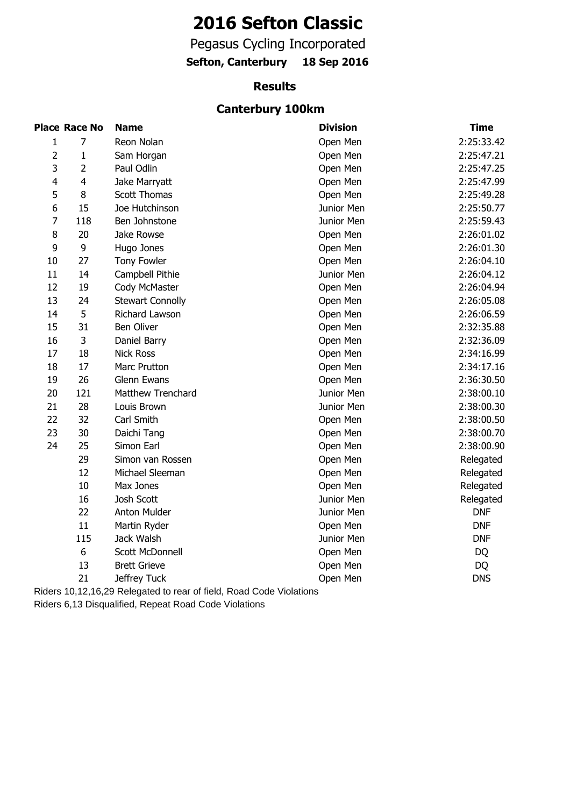# **2016 Sefton Classic**

Pegasus Cycling Incorporated

**Sefton, Canterbury 18 Sep 2016**

#### **Results**

## **Canterbury 100km**

|                | <b>Place Race No</b> | <b>Name</b>             | <b>Division</b> | <b>Time</b> |
|----------------|----------------------|-------------------------|-----------------|-------------|
| 1              | 7                    | Reon Nolan              | Open Men        | 2:25:33.42  |
| $\overline{2}$ | $\mathbf{1}$         | Sam Horgan              | Open Men        | 2:25:47.21  |
| 3              | $\overline{2}$       | Paul Odlin              | Open Men        | 2:25:47.25  |
| $\overline{4}$ | $\overline{4}$       | Jake Marryatt           | Open Men        | 2:25:47.99  |
| 5              | 8                    | <b>Scott Thomas</b>     | Open Men        | 2:25:49.28  |
| 6              | 15                   | Joe Hutchinson          | Junior Men      | 2:25:50.77  |
| $\overline{7}$ | 118                  | Ben Johnstone           | Junior Men      | 2:25:59.43  |
| 8              | 20                   | Jake Rowse              | Open Men        | 2:26:01.02  |
| 9              | 9                    | Hugo Jones              | Open Men        | 2:26:01.30  |
| 10             | 27                   | <b>Tony Fowler</b>      | Open Men        | 2:26:04.10  |
| 11             | 14                   | Campbell Pithie         | Junior Men      | 2:26:04.12  |
| 12             | 19                   | Cody McMaster           | Open Men        | 2:26:04.94  |
| 13             | 24                   | <b>Stewart Connolly</b> | Open Men        | 2:26:05.08  |
| 14             | 5                    | Richard Lawson          | Open Men        | 2:26:06.59  |
| 15             | 31                   | <b>Ben Oliver</b>       | Open Men        | 2:32:35.88  |
| 16             | 3                    | Daniel Barry            | Open Men        | 2:32:36.09  |
| 17             | 18                   | <b>Nick Ross</b>        | Open Men        | 2:34:16.99  |
| 18             | 17                   | Marc Prutton            | Open Men        | 2:34:17.16  |
| 19             | 26                   | Glenn Ewans             | Open Men        | 2:36:30.50  |
| 20             | 121                  | Matthew Trenchard       | Junior Men      | 2:38:00.10  |
| 21             | 28                   | Louis Brown             | Junior Men      | 2:38:00.30  |
| 22             | 32                   | Carl Smith              | Open Men        | 2:38:00.50  |
| 23             | 30                   | Daichi Tang             | Open Men        | 2:38:00.70  |
| 24             | 25                   | Simon Earl              | Open Men        | 2:38:00.90  |
|                | 29                   | Simon van Rossen        | Open Men        | Relegated   |
|                | 12                   | Michael Sleeman         | Open Men        | Relegated   |
|                | 10                   | Max Jones               | Open Men        | Relegated   |
|                | 16                   | Josh Scott              | Junior Men      | Relegated   |
|                | 22                   | Anton Mulder            | Junior Men      | <b>DNF</b>  |
|                | 11                   | Martin Ryder            | Open Men        | <b>DNF</b>  |
|                | 115                  | Jack Walsh              | Junior Men      | <b>DNF</b>  |
|                | 6                    | Scott McDonnell         | Open Men        | <b>DQ</b>   |
|                | 13                   | <b>Brett Grieve</b>     | Open Men        | DQ          |
|                | 21                   | Jeffrey Tuck            | Open Men        | <b>DNS</b>  |

Riders 10,12,16,29 Relegated to rear of field, Road Code Violations

Riders 6,13 Disqualified, Repeat Road Code Violations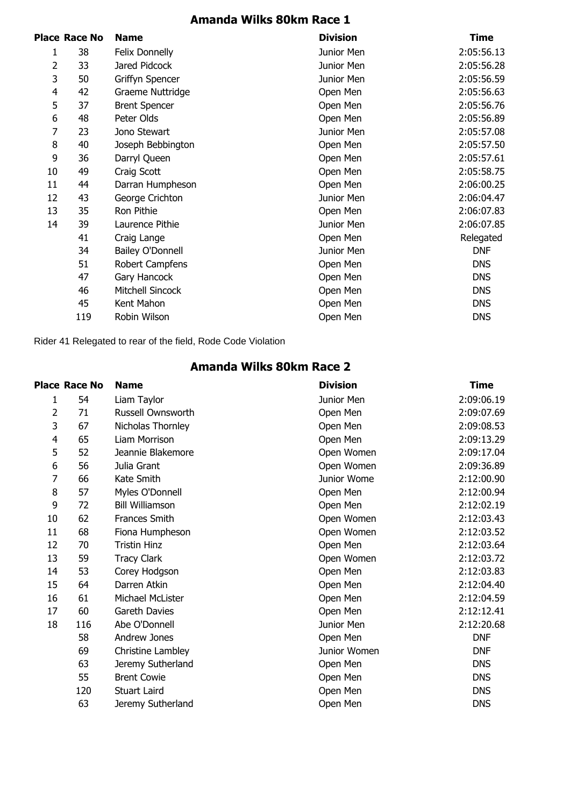# **Amanda Wilks 80km Race 1**

|    | Place Race No | <b>Name</b>             | <b>Division</b> | <b>Time</b> |
|----|---------------|-------------------------|-----------------|-------------|
| 1  | 38            | Felix Donnelly          | Junior Men      | 2:05:56.13  |
| 2  | 33            | Jared Pidcock           | Junior Men      | 2:05:56.28  |
| 3  | 50            | Griffyn Spencer         | Junior Men      | 2:05:56.59  |
| 4  | 42            | Graeme Nuttridge        | Open Men        | 2:05:56.63  |
| 5  | 37            | <b>Brent Spencer</b>    | Open Men        | 2:05:56.76  |
| 6  | 48            | Peter Olds              | Open Men        | 2:05:56.89  |
| 7  | 23            | Jono Stewart            | Junior Men      | 2:05:57.08  |
| 8  | 40            | Joseph Bebbington       | Open Men        | 2:05:57.50  |
| 9  | 36            | Darryl Queen            | Open Men        | 2:05:57.61  |
| 10 | 49            | Craig Scott             | Open Men        | 2:05:58.75  |
| 11 | 44            | Darran Humpheson        | Open Men        | 2:06:00.25  |
| 12 | 43            | George Crichton         | Junior Men      | 2:06:04.47  |
| 13 | 35            | Ron Pithie              | Open Men        | 2:06:07.83  |
| 14 | 39            | Laurence Pithie         | Junior Men      | 2:06:07.85  |
|    | 41            | Craig Lange             | Open Men        | Relegated   |
|    | 34            | <b>Bailey O'Donnell</b> | Junior Men      | <b>DNF</b>  |
|    | 51            | Robert Campfens         | Open Men        | <b>DNS</b>  |
|    | 47            | Gary Hancock            | Open Men        | <b>DNS</b>  |
|    | 46            | <b>Mitchell Sincock</b> | Open Men        | <b>DNS</b>  |
|    | 45            | Kent Mahon              | Open Men        | <b>DNS</b>  |
|    | 119           | Robin Wilson            | Open Men        | <b>DNS</b>  |
|    |               |                         |                 |             |

Rider 41 Relegated to rear of the field, Rode Code Violation

## **Amanda Wilks 80km Race 2**

|    | <b>Place Race No</b> | <b>Name</b>            | <b>Division</b> | <b>Time</b> |
|----|----------------------|------------------------|-----------------|-------------|
| 1  | 54                   | Liam Taylor            | Junior Men      | 2:09:06.19  |
| 2  | 71                   | Russell Ownsworth      | Open Men        | 2:09:07.69  |
| 3  | 67                   | Nicholas Thornley      | Open Men        | 2:09:08.53  |
| 4  | 65                   | Liam Morrison          | Open Men        | 2:09:13.29  |
| 5  | 52                   | Jeannie Blakemore      | Open Women      | 2:09:17.04  |
| 6  | 56                   | Julia Grant            | Open Women      | 2:09:36.89  |
| 7  | 66                   | Kate Smith             | Junior Wome     | 2:12:00.90  |
| 8  | 57                   | Myles O'Donnell        | Open Men        | 2:12:00.94  |
| 9  | 72                   | <b>Bill Williamson</b> | Open Men        | 2:12:02.19  |
| 10 | 62                   | Frances Smith          | Open Women      | 2:12:03.43  |
| 11 | 68                   | Fiona Humpheson        | Open Women      | 2:12:03.52  |
| 12 | 70                   | <b>Tristin Hinz</b>    | Open Men        | 2:12:03.64  |
| 13 | 59                   | <b>Tracy Clark</b>     | Open Women      | 2:12:03.72  |
| 14 | 53                   | Corey Hodgson          | Open Men        | 2:12:03.83  |
| 15 | 64                   | Darren Atkin           | Open Men        | 2:12:04.40  |
| 16 | 61                   | Michael McLister       | Open Men        | 2:12:04.59  |
| 17 | 60                   | Gareth Davies          | Open Men        | 2:12:12.41  |
| 18 | 116                  | Abe O'Donnell          | Junior Men      | 2:12:20.68  |
|    | 58                   | Andrew Jones           | Open Men        | <b>DNF</b>  |
|    | 69                   | Christine Lambley      | Junior Women    | <b>DNF</b>  |
|    | 63                   | Jeremy Sutherland      | Open Men        | <b>DNS</b>  |
|    | 55                   | <b>Brent Cowie</b>     | Open Men        | <b>DNS</b>  |
|    | 120                  | <b>Stuart Laird</b>    | Open Men        | <b>DNS</b>  |
|    | 63                   | Jeremy Sutherland      | Open Men        | <b>DNS</b>  |